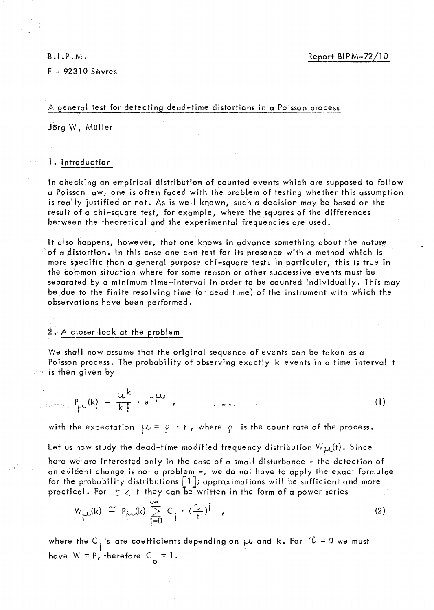# $B.I.P.N.$  $F - 92310$  Sèvres

 $\left\langle \phi \right\rangle_{\rm{S}}$ 

# A general test for detecting dead-time distortions in a Poisson process

Jörg W, Müller

## 1. Introduction

In checking an empirical distribution of counted events which are supposed to follow a Poisson law, one is often faced with the problem of testing whether this assumption is really justified or not. As is well known, such a decision may be based on the result of a chi-square test, for example, where the squares of the differences between the theoretical and the experimental frequencies are used.

It also happens, however, that one knows in advance something about the nature of a distortion. In this case one can test for its presence with a method which is more specific than a general purpose chi-square tests in particular, this is true in the common situation where for some reason or other successive events must be separated by a minimum time-interval in order to be counted individually. This may be due to the finite resolving time (or dead time) of the instrument with which the observations have been performed.

## 2. A closer look at the problem

We shall now assume that the original sequence of events can be taken as a Poisson process. The probability of observing exactly k events in a time interval t  $\mathbb{R}^n$  is then given by

$$
P_{\mu\nu}(k) = \frac{\mu^k}{k!} \cdot e^{-\mu\nu}, \qquad \qquad P_{\mu\nu}(k) = \frac{\mu^k}{k!} \cdot e^{-\mu\nu}, \qquad (1)
$$

with the expectation  $\mu = \rho \cdot t$ , where  $\rho$  is the count rate of the process.

Let us now study the dead-time modified frequency distribution  $W_{\mu\nu}(t)$ . Since

here we are interested only in the case of a small disturbance - the detection of an evident change is not a problem -, we do not have to apply the exact formulae for the probability distributions  $\lceil 1 \rceil$ ; approximations will be sufficient and more practical . For  $\tau <$  t they can be written in the form of a power series

$$
W_{\mu\nu}(k) \cong P_{\mu\nu}(k) \sum_{i=0}^{\infty} C_i \cdot (\frac{\tau}{t})^i \quad , \tag{2}
$$

where the C<sub>i</sub>'s are coefficients depending on  $\mu$  and k. For  $\tau = 0$  we must have  $W = P$ , therefore  $C_0 = 1$ .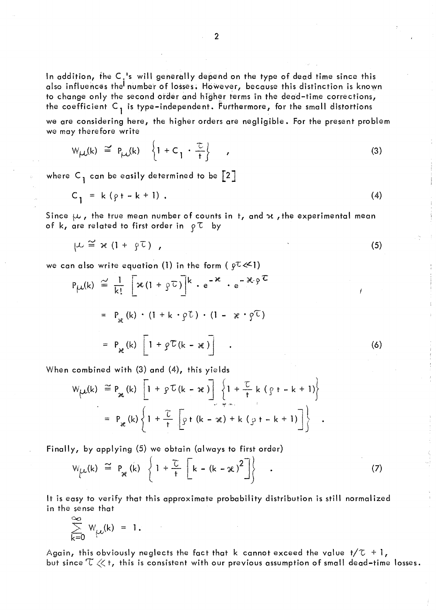we are considering here, the higher orders are negligible. For the present problem we may therefore write

$$
W_{\mu\nu}(k) \cong P_{\mu\nu}(k) \left\{ 1 + C_1 \cdot \frac{\tau}{t} \right\} \qquad (3)
$$

where C<sub>1</sub> can be easily determined to be  $\lceil 2 \rceil$ 

$$
C_1 = k(\rho t - k + 1). \tag{4}
$$

Since  $\mu$ , the true mean number of counts in t, and x, the experimental mean of k, are related to first order in  $\rho \tau$  by

$$
\mu \cong \varkappa (1 + \rho \tau) \qquad (5)
$$

we can also write equation (1) in the form (  $\varphi^{\tau}$   $\ll$  1)

$$
P_{\mu}(k) \cong \frac{1}{k!} \left[ x(1 + \rho \tau) \right]^{k} \cdot e^{-x} \cdot e^{-x \cdot \rho \tau}
$$
  

$$
= P_{x}(k) \cdot (1 + k \cdot \rho \tau) \cdot (1 - x \cdot \rho \tau)
$$
  

$$
= P_{x}(k) \left[ 1 + \rho \tau (k - x) \right] \quad .
$$
 (6)

When combined with  $(3)$  and  $(4)$ , this yields

$$
W_{\mu\mu}(k) \cong P_{\mathcal{R}}(k) \left[ 1 + \rho \mathcal{L}(k - \mathcal{R}) \right] \left\{ 1 + \frac{\mathcal{L}}{t} k (\rho t - k + 1) \right\}
$$
  
=  $P_{\mathcal{R}}(k) \left\{ 1 + \frac{\mathcal{L}}{t} \left[ \rho t (k - \mathcal{R}) + k (\rho t - k + 1) \right] \right\}$ .

Finally, by applying (5) we obtain (always to first order)

$$
W_{\mu}(k) \cong P_{\mathcal{H}}(k) \left\{ 1 + \frac{\tau}{t} \left[ k - (k - \mathcal{H})^2 \right] \right\} \quad . \tag{7}
$$

It is easy to verify that this approximate probability distribution is still normalized in the sense that

$$
\sum_{k=0}^{\infty} W_{\mu}(k) = 1.
$$

Again, this obviously neglects the fact that k cannot exceed the value  $t/\mathcal{I} + l$ , but since  $\mathbb{T} \ll$  t, this is consistent with our previous assumption of small dead–time losses.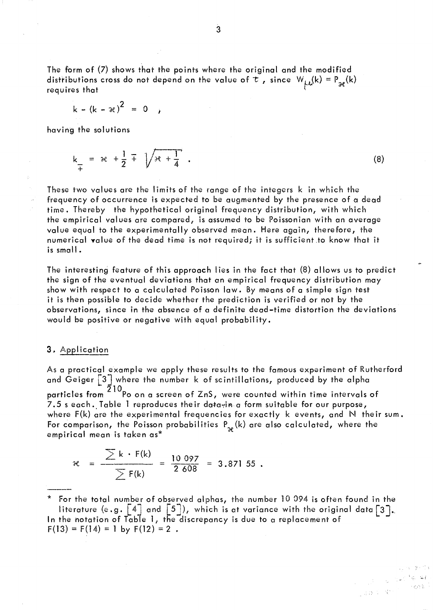The form of (7) shows that the points where the original and the modified distributions cross do not depend on the value of  $\tau$ , since  $W_{\mu\nu}(k) = P_{\nu\tau}(k)$ requires that

$$
k - (k - \varkappa)^2 = 0
$$

having the solutions

 $k = \infty + \frac{1}{2} + \sqrt{x + \frac{1}{4}}$ .  $(8)$ 

These two values are the limits of the range of the integers k in which the frequency of occurrence is expected to be augmented by the presence of a dead time. Thereby the hypothetical original frequency distribution, with which the empirical values are compared, is assumed to be Poissonian with an average value equal to the experimentally observed mean. Here again, therefore, the numerical value of the dead time is not required; it is sufficient to know that it is small.

The interesting feature of this approach lies in the fact that (8) allows us to predict the sign of the eventual deviations that an empirical frequency distribution may show with respect to a calculated Poisson law. By means of a simple sign test it is then possible to decide whether the prediction is verified or not by the observations, since in the absence of a definite dead-time distortion the deviations would be positive or negative with equal probability.

## 3. Application

As a practical example we apply these results to the famous experiment of Rutherford and Geiger  $\lceil 3 \rceil$  where the number  $k$  of scintillations, produced by the alpha particles from  $\frac{10}{210}$ Po on a screen of ZnS, were counted within time intervals of 7.5 s each. Table 1 reproduces their datavin a form suitable for our purpose, where  $F(k)$  are the experimental frequencies for exactly  $k$  events, and  $N$  their sum. For comparison, the Poisson probabilities  $P_{\infty}(k)$  are also calculated, where the empirical mean is taken as\*

$$
\mathcal{R} = \frac{\sum k \cdot F(k)}{\sum F(k)} = \frac{10.097}{2.608} = 3.871.55
$$

\* For the total number of observed alphas, the number 10 094 is often found in the literature (e.g.  $\lceil 4 \rceil$  and  $\lceil 5 \rceil$ ), which is at variance with the original data  $\lceil 3 \rceil$ . In the notation of Table 1, the discrepancy is due to a replacement of  $F(13) = F(14) = 1$  by  $F(12) = 2$ .

 $\frac{1}{\sqrt{2}}\left(1-\frac{1}{2}\log\frac{2\pi}{\lambda}\right)$ 

Labor Mor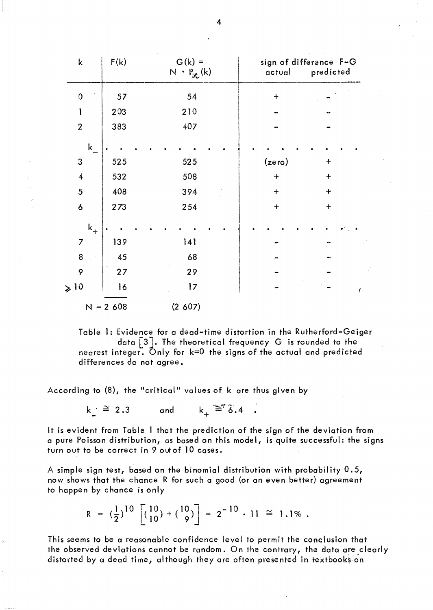| $\mathsf k$    | F(k) | $G(k) =$<br>$N \cdot P_{x(k)}$ | sign of difference F-G<br>predicted<br>ačtual |   |
|----------------|------|--------------------------------|-----------------------------------------------|---|
| $\mathbf 0$    | 57   | 54                             | $+$                                           |   |
| 1              | 203  | 210                            |                                               |   |
| $\overline{2}$ | 383  | 407                            |                                               |   |
| k              |      |                                |                                               |   |
| $\mathsf 3$    | 525  | 525                            | (zero)<br>$+$                                 |   |
| $\overline{4}$ | 532  | 508                            | $\ddotmark$<br>$+$                            |   |
| 5              | 408  | 394                            | $+$<br>$+$                                    |   |
| 6              | 273  | 254                            | $\ddot{}$<br>$\div$                           |   |
| $\mathbf{k}_+$ |      |                                |                                               |   |
| $\overline{7}$ | 139  | 141                            |                                               |   |
| 8              | 45   | 68                             |                                               |   |
| 9              | 27   | 29                             |                                               |   |
| $\geqslant$ 10 | 16   | 17                             |                                               | ļ |
| $N = 2,608$    |      | (2 607)                        |                                               |   |

Table 1: Evidence for a dead-time distortion in the Rutherford-Geiger data  $\lceil 3 \rceil$ . The theoretical frequency G is rounded to the nearest integer. Only for k=O the signs of the actual and predicted differences do not agree.

According to (8), the "c ritical" values of k are thus given by

 $k \text{ } \cong 2.3$  and  $k_{\perp} \cong 6.4$ .

It is evident from Table 1 that the prediction of the sign of the deviation from a pure Poisson distribution, as based on this model, is quite successful: the signs turn out to be correct in 9 out of 10 cases.

A simple sign test, based on the binomial distribution with probability 0.5, now shows that the chance R for such a good (or an even better) agreement to happen by chance is only

$$
R = (\frac{1}{2})^{10} \left[ (\frac{10}{10}) + (\frac{10}{9}) \right] = 2^{-10} \cdot 11 \approx 1.1\% .
$$

This seems to be a reasonable confidence level to permit the conclusion that the observed deviations cannot be random. On the contrary, the data are clearly distorted by a dead time, although they are often presented in textbooks on

4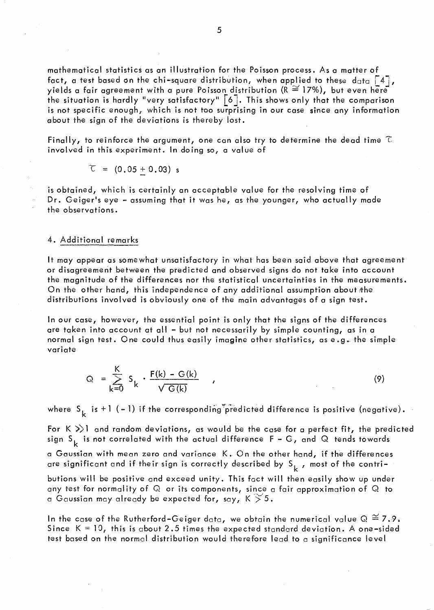mathematical statistics as an illustration for the Po isson process. As a matter of fact, a test based on the chi-square distribution, when applied to these data  $\lceil 4 \rceil$ , yields a fair agreement with a pure Poisson distribution ( $R \cong 17\%$ ), but even here the situation is hardly "very satisfactory"  $\lceil 6 \rceil$ . This shows only that the comparison is not specific enough, which is not too surprising in our case since any information about the sign of the deviations is thereby lost.

Finally, to reinforce the argument, one can also try to determine the dead time  $\tau$ involved in this experiment. In doing so, a value of

$$
\mathcal{L} = (0.05 \pm 0.03) \; \text{s}
$$

is obtained, which is certainly an acceptable value for the resolving time of Dr. Geiger's eye - assuming that it was he, as the younger, who actually made the observations.

### 4. Additional remarks

It may appear as somewhat unsatisfactory in what has been said above that agreement or disagreement between the predicted and observed signs do not take into account the magnitude of the differences nor the statistical uncertainties in the measurements. On the other hand, this independence of any additional assumption about the distributions involved is obviously one of the main advantages of a sign test.

ln our case, however, the essential point is only that the signs of the differences are taken into account at all - but not necessarily by simple counting, as in a normal sign test. One could thus easîly imagine other statistics, as e.g. the simple variate

$$
Q = \sum_{k=0}^{K} S_k \cdot \frac{F(k) - G(k)}{\sqrt{G(k)}} \qquad , \qquad (9)
$$

where  $S_k$  is +1 (-1) if the corresponding predicted difference is positive (negative).

For  $K \gg 1$  and random deviations, as would be the case for a perfect fit, the predicted sign S<sub>k</sub> is not correlated with the actual difference F – G, and Q tends towards

a Gaussian with mean zero and variance K. On the other hand, if the differences are significant and if their sign is correctly described by  $S_k$ , most of the contri-

butions will be positive and exceed unity. This fact will then easily show up under any test for normal ity of Q or its components, since a fair approximation of Q to a Gaussian may already be expected for, say, K  $>$  5.

In the case of the Rutherford–Geiger data, we obtain the numerical value  $Q \cong 7.9$ . Since  $K = 10$ , this is about 2.5 times the expected standard deviation. A one-sided test based on the normal distribution would therefore lead to a significance level